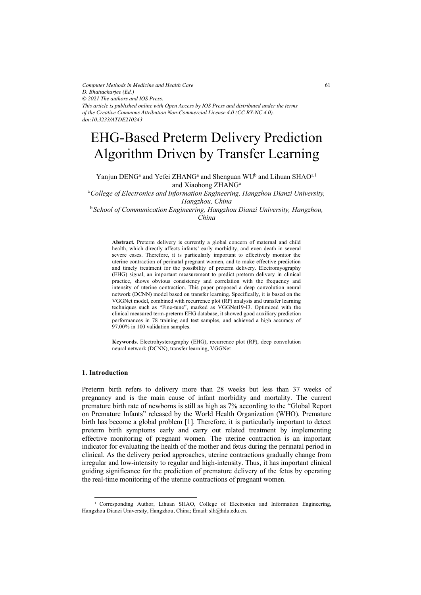*Computer Methods in Medicine and Health Care D. Bhattacharjee (Ed.) © 2021 The authors and IOS Press. This article is published online with Open Access by IOS Press and distributed under the terms of the Creative Commons Attribution Non-Commercial License 4.0 (CC BY-NC 4.0). doi:10.3233/ATDE210243*

# EHG-Based Preterm Delivery Prediction Algorithm Driven by Transfer Learning

Yanjun DENG<sup>a</sup> and Yefei ZHANG<sup>a</sup> and Shenguan WU<sup>b</sup> and Lihuan SHAO<sup>a,1</sup> and Xiaohong ZHANG<sup>a</sup>

 a*College of Electronics and Information Engineering, Hangzhou Dianzi University, Hangzhou, China* 

<sup>b</sup> *School of Communication Engineering, Hangzhou Dianzi University, Hangzhou, China* 

**Abstract.** Preterm delivery is currently a global concern of maternal and child health, which directly affects infants' early morbidity, and even death in several severe cases. Therefore, it is particularly important to effectively monitor the uterine contraction of perinatal pregnant women, and to make effective prediction and timely treatment for the possibility of preterm delivery. Electromyography (EHG) signal, an important measurement to predict preterm delivery in clinical practice, shows obvious consistency and correlation with the frequency and intensity of uterine contraction. This paper proposed a deep convolution neural network (DCNN) model based on transfer learning. Specifically, it is based on the VGGNet model, combined with recurrence plot (RP) analysis and transfer learning techniques such as "Fine-tune", marked as VGGNet19-I3. Optimized with the clinical measured term-preterm EHG database, it showed good auxiliary prediction performances in 78 training and test samples, and achieved a high accuracy of 97.00% in 100 validation samples.

**Keywords.** Electrohysterography (EHG), recurrence plot (RP), deep convolution neural network (DCNN), transfer learning, VGGNet

# **1. Introduction**

Preterm birth refers to delivery more than 28 weeks but less than 37 weeks of pregnancy and is the main cause of infant morbidity and mortality. The current premature birth rate of newborns is still as high as 7% according to the "Global Report on Premature Infants" released by the World Health Organization (WHO). Premature birth has become a global problem [1]. Therefore, it is particularly important to detect preterm birth symptoms early and carry out related treatment by implementing effective monitoring of pregnant women. The uterine contraction is an important indicator for evaluating the health of the mother and fetus during the perinatal period in clinical. As the delivery period approaches, uterine contractions gradually change from irregular and low-intensity to regular and high-intensity. Thus, it has important clinical guiding significance for the prediction of premature delivery of the fetus by operating the real-time monitoring of the uterine contractions of pregnant women.

<sup>&</sup>lt;sup>1</sup> Corresponding Author, Lihuan SHAO, College of Electronics and Information Engineering, Hangzhou Dianzi University, Hangzhou, China; Email: slh@hdu.edu.cn.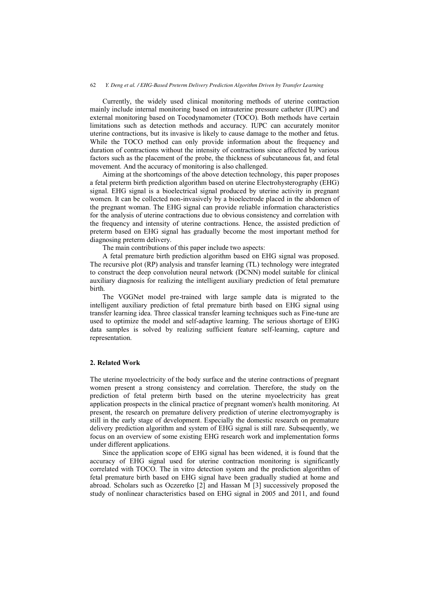Currently, the widely used clinical monitoring methods of uterine contraction mainly include internal monitoring based on intrauterine pressure catheter (IUPC) and external monitoring based on Tocodynamometer (TOCO). Both methods have certain limitations such as detection methods and accuracy. IUPC can accurately monitor uterine contractions, but its invasive is likely to cause damage to the mother and fetus. While the TOCO method can only provide information about the frequency and duration of contractions without the intensity of contractions since affected by various factors such as the placement of the probe, the thickness of subcutaneous fat, and fetal movement. And the accuracy of monitoring is also challenged.

Aiming at the shortcomings of the above detection technology, this paper proposes a fetal preterm birth prediction algorithm based on uterine Electrohysterography (EHG) signal. EHG signal is a bioelectrical signal produced by uterine activity in pregnant women. It can be collected non-invasively by a bioelectrode placed in the abdomen of the pregnant woman. The EHG signal can provide reliable information characteristics for the analysis of uterine contractions due to obvious consistency and correlation with the frequency and intensity of uterine contractions. Hence, the assisted prediction of preterm based on EHG signal has gradually become the most important method for diagnosing preterm delivery.

The main contributions of this paper include two aspects:

A fetal premature birth prediction algorithm based on EHG signal was proposed. The recursive plot (RP) analysis and transfer learning (TL) technology were integrated to construct the deep convolution neural network (DCNN) model suitable for clinical auxiliary diagnosis for realizing the intelligent auxiliary prediction of fetal premature birth.

The VGGNet model pre-trained with large sample data is migrated to the intelligent auxiliary prediction of fetal premature birth based on EHG signal using transfer learning idea. Three classical transfer learning techniques such as Fine-tune are used to optimize the model and self-adaptive learning. The serious shortage of EHG data samples is solved by realizing sufficient feature self-learning, capture and representation.

# **2. Related Work**

The uterine myoelectricity of the body surface and the uterine contractions of pregnant women present a strong consistency and correlation. Therefore, the study on the prediction of fetal preterm birth based on the uterine myoelectricity has great application prospects in the clinical practice of pregnant women's health monitoring. At present, the research on premature delivery prediction of uterine electromyography is still in the early stage of development. Especially the domestic research on premature delivery prediction algorithm and system of EHG signal is still rare. Subsequently, we focus on an overview of some existing EHG research work and implementation forms under different applications.

Since the application scope of EHG signal has been widened, it is found that the accuracy of EHG signal used for uterine contraction monitoring is significantly correlated with TOCO. The in vitro detection system and the prediction algorithm of fetal premature birth based on EHG signal have been gradually studied at home and abroad. Scholars such as Oczeretko [2] and Hassan M [3] successively proposed the study of nonlinear characteristics based on EHG signal in 2005 and 2011, and found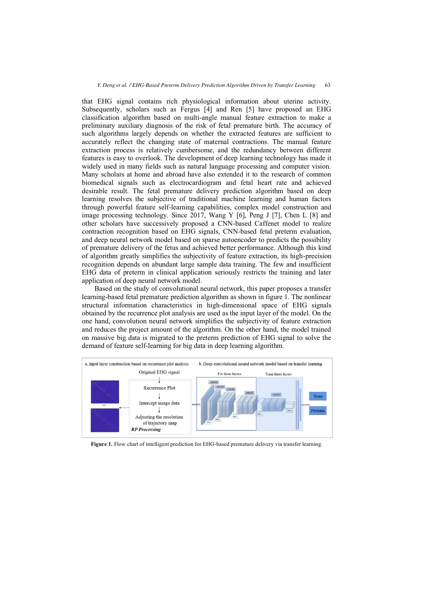that EHG signal contains rich physiological information about uterine activity. Subsequently, scholars such as Fergus [4] and Ren [5] have proposed an EHG classification algorithm based on multi-angle manual feature extraction to make a preliminary auxiliary diagnosis of the risk of fetal premature birth. The accuracy of such algorithms largely depends on whether the extracted features are sufficient to accurately reflect the changing state of maternal contractions. The manual feature extraction process is relatively cumbersome, and the redundancy between different features is easy to overlook. The development of deep learning technology has made it widely used in many fields such as natural language processing and computer vision. Many scholars at home and abroad have also extended it to the research of common biomedical signals such as electrocardiogram and fetal heart rate and achieved desirable result. The fetal premature delivery prediction algorithm based on deep learning resolves the subjective of traditional machine learning and human factors through powerful feature self-learning capabilities, complex model construction and image processing technology. Since 2017, Wang Y [6], Peng J [7], Chen L [8] and other scholars have successively proposed a CNN-based Caffenet model to realize contraction recognition based on EHG signals, CNN-based fetal preterm evaluation, and deep neural network model based on sparse autoencoder to predicts the possibility of premature delivery of the fetus and achieved better performance. Although this kind of algorithm greatly simplifies the subjectivity of feature extraction, its high-precision recognition depends on abundant large sample data training. The few and insufficient EHG data of preterm in clinical application seriously restricts the training and later application of deep neural network model.

Based on the study of convolutional neural network, this paper proposes a transfer learning-based fetal premature prediction algorithm as shown in figure 1. The nonlinear structural information characteristics in high-dimensional space of EHG signals obtained by the recurrence plot analysis are used as the input layer of the model. On the one hand, convolution neural network simplifies the subjectivity of feature extraction and reduces the project amount of the algorithm. On the other hand, the model trained on massive big data is migrated to the preterm prediction of EHG signal to solve the demand of feature self-learning for big data in deep learning algorithm.



**Figure 1.** Flow chart of intelligent prediction for EHG-based premature delivery via transfer learning.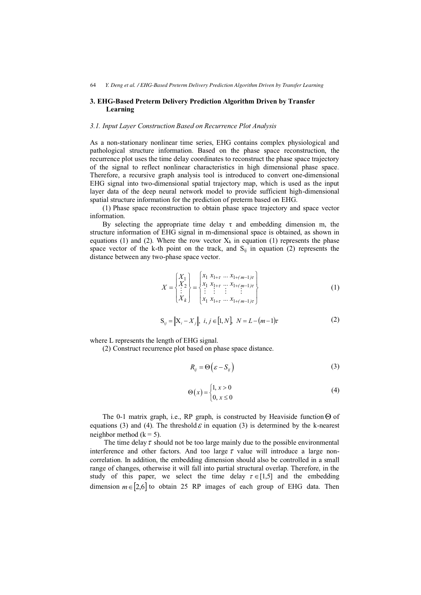# **3. EHG-Based Preterm Delivery Prediction Algorithm Driven by Transfer Learning**

## *3.1. Input Layer Construction Based on Recurrence Plot Analysis*

As a non-stationary nonlinear time series, EHG contains complex physiological and pathological structure information. Based on the phase space reconstruction, the recurrence plot uses the time delay coordinates to reconstruct the phase space trajectory of the signal to reflect nonlinear characteristics in high dimensional phase space. Therefore, a recursive graph analysis tool is introduced to convert one-dimensional EHG signal into two-dimensional spatial trajectory map, which is used as the input layer data of the deep neural network model to provide sufficient high-dimensional spatial structure information for the prediction of preterm based on EHG.

(1) Phase space reconstruction to obtain phase space trajectory and space vector information.

By selecting the appropriate time delay  $\tau$  and embedding dimension m, the structure information of EHG signal in m-dimensional space is obtained, as shown in equations (1) and (2). Where the row vector  $X_k$  in equation (1) represents the phase space vector of the k-th point on the track, and  $S_{ij}$  in equation (2) represents the distance between any two-phase space vector.

$$
X = \begin{Bmatrix} X_1 \\ X_2 \\ \vdots \\ X_k \end{Bmatrix} = \begin{Bmatrix} x_1 & x_{1+\tau} & \dots & x_{1+(m-1)\tau} \\ x_1 & x_{1+\tau} & \dots & x_{1+(m-1)\tau} \\ \vdots & \vdots & \vdots & \vdots \\ x_1 & x_{1+\tau} & \dots & x_{1+(m-1)\tau} \end{Bmatrix}
$$
 (1)

$$
S_{ij} = ||X_i - X_j||, \ i, j \in [1, N], \ N = L - (m - 1)\tau
$$
 (2)

where L represents the length of EHG signal.

(2) Construct recurrence plot based on phase space distance.

$$
R_{ij} = \Theta\left(\varepsilon - S_{ij}\right) \tag{3}
$$

$$
\Theta(x) = \begin{cases} 1, x > 0 \\ 0, x \le 0 \end{cases}
$$
 (4)

The 0-1 matrix graph, i.e., RP graph, is constructed by Heaviside function  $\Theta$  of equations (3) and (4). The threshold  $\varepsilon$  in equation (3) is determined by the k-nearest neighbor method  $(k = 5)$ .

The time delay  $\tau$  should not be too large mainly due to the possible environmental interference and other factors. And too large  $\tau$  value will introduce a large noncorrelation. In addition, the embedding dimension should also be controlled in a small range of changes, otherwise it will fall into partial structural overlap. Therefore, in the study of this paper, we select the time delay  $\tau \in [1,5]$  and the embedding dimension  $m \in [2,6]$  to obtain 25 RP images of each group of EHG data. Then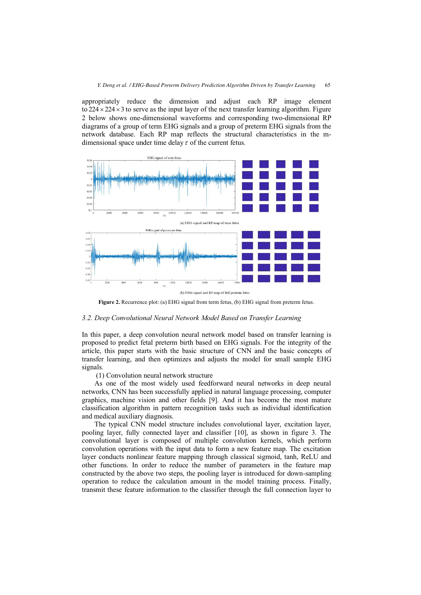appropriately reduce the dimension and adjust each RP image element to  $224 \times 224 \times 3$  to serve as the input layer of the next transfer learning algorithm. Figure 2 below shows one-dimensional waveforms and corresponding two-dimensional RP diagrams of a group of term EHG signals and a group of preterm EHG signals from the network database. Each RP map reflects the structural characteristics in the mdimensional space under time delay  $\tau$  of the current fetus.



(b) EHG signal and RP map of full preterm fetus

**Figure 2.** Recurrence plot: (a) EHG signal from term fetus, (b) EHG signal from preterm fetus.

#### *3.2. Deep Convolutional Neural Network Model Based on Transfer Learning*

In this paper, a deep convolution neural network model based on transfer learning is proposed to predict fetal preterm birth based on EHG signals. For the integrity of the article, this paper starts with the basic structure of CNN and the basic concepts of transfer learning, and then optimizes and adjusts the model for small sample EHG signals.

(1) Convolution neural network structure

As one of the most widely used feedforward neural networks in deep neural networks, CNN has been successfully applied in natural language processing, computer graphics, machine vision and other fields [9]. And it has become the most mature classification algorithm in pattern recognition tasks such as individual identification and medical auxiliary diagnosis.

The typical CNN model structure includes convolutional layer, excitation layer, pooling layer, fully connected layer and classifier [10], as shown in figure 3. The convolutional layer is composed of multiple convolution kernels, which perform convolution operations with the input data to form a new feature map. The excitation layer conducts nonlinear feature mapping through classical sigmoid, tanh, ReLU and other functions. In order to reduce the number of parameters in the feature map constructed by the above two steps, the pooling layer is introduced for down-sampling operation to reduce the calculation amount in the model training process. Finally, transmit these feature information to the classifier through the full connection layer to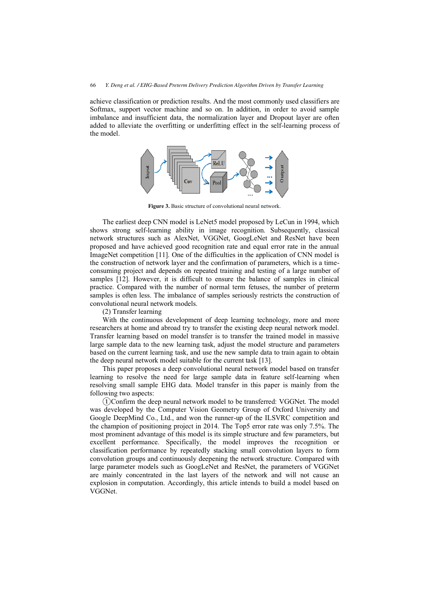achieve classification or prediction results. And the most commonly used classifiers are Softmax, support vector machine and so on. In addition, in order to avoid sample imbalance and insufficient data, the normalization layer and Dropout layer are often added to alleviate the overfitting or underfitting effect in the self-learning process of the model.



**Figure 3.** Basic structure of convolutional neural network.

The earliest deep CNN model is LeNet5 model proposed by LeCun in 1994, which shows strong self-learning ability in image recognition. Subsequently, classical network structures such as AlexNet, VGGNet, GoogLeNet and ResNet have been proposed and have achieved good recognition rate and equal error rate in the annual ImageNet competition [11]. One of the difficulties in the application of CNN model is the construction of network layer and the confirmation of parameters, which is a timeconsuming project and depends on repeated training and testing of a large number of samples [12]. However, it is difficult to ensure the balance of samples in clinical practice. Compared with the number of normal term fetuses, the number of preterm samples is often less. The imbalance of samples seriously restricts the construction of convolutional neural network models.

(2) Transfer learning

With the continuous development of deep learning technology, more and more researchers at home and abroad try to transfer the existing deep neural network model. Transfer learning based on model transfer is to transfer the trained model in massive large sample data to the new learning task, adjust the model structure and parameters based on the current learning task, and use the new sample data to train again to obtain the deep neural network model suitable for the current task [13].

This paper proposes a deep convolutional neural network model based on transfer learning to resolve the need for large sample data in feature self-learning when resolving small sample EHG data. Model transfer in this paper is mainly from the following two aspects:

ᬅConfirm the deep neural network model to be transferred: VGGNet. The model was developed by the Computer Vision Geometry Group of Oxford University and Google DeepMind Co., Ltd., and won the runner-up of the ILSVRC competition and the champion of positioning project in 2014. The Top5 error rate was only 7.5%. The most prominent advantage of this model is its simple structure and few parameters, but excellent performance. Specifically, the model improves the recognition or classification performance by repeatedly stacking small convolution layers to form convolution groups and continuously deepening the network structure. Compared with large parameter models such as GoogLeNet and ResNet, the parameters of VGGNet are mainly concentrated in the last layers of the network and will not cause an explosion in computation. Accordingly, this article intends to build a model based on VGGNet.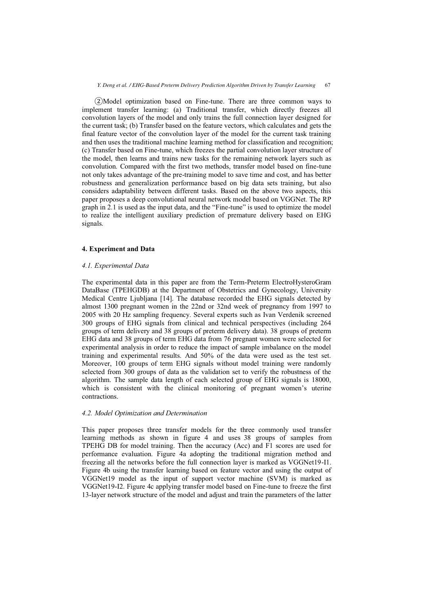ᬆModel optimization based on Fine-tune. There are three common ways to implement transfer learning: (a) Traditional transfer, which directly freezes all convolution layers of the model and only trains the full connection layer designed for the current task; (b) Transfer based on the feature vectors, which calculates and gets the final feature vector of the convolution layer of the model for the current task training and then uses the traditional machine learning method for classification and recognition; (c) Transfer based on Fine-tune, which freezes the partial convolution layer structure of the model, then learns and trains new tasks for the remaining network layers such as convolution. Compared with the first two methods, transfer model based on fine-tune not only takes advantage of the pre-training model to save time and cost, and has better robustness and generalization performance based on big data sets training, but also considers adaptability between different tasks. Based on the above two aspects, this paper proposes a deep convolutional neural network model based on VGGNet. The RP graph in 2.1 is used as the input data, and the "Fine-tune" is used to optimize the model to realize the intelligent auxiliary prediction of premature delivery based on EHG signals.

## **4. Experiment and Data**

## *4.1. Experimental Data*

The experimental data in this paper are from the Term-Preterm ElectroHysteroGram DataBase (TPEHGDB) at the Department of Obstetrics and Gynecology, University Medical Centre Ljubljana [14]. The database recorded the EHG signals detected by almost 1300 pregnant women in the 22nd or 32nd week of pregnancy from 1997 to 2005 with 20 Hz sampling frequency. Several experts such as Ivan Verdenik screened 300 groups of EHG signals from clinical and technical perspectives (including 264 groups of term delivery and 38 groups of preterm delivery data). 38 groups of preterm EHG data and 38 groups of term EHG data from 76 pregnant women were selected for experimental analysis in order to reduce the impact of sample imbalance on the model training and experimental results. And 50% of the data were used as the test set. Moreover, 100 groups of term EHG signals without model training were randomly selected from 300 groups of data as the validation set to verify the robustness of the algorithm. The sample data length of each selected group of EHG signals is 18000, which is consistent with the clinical monitoring of pregnant women's uterine contractions.

#### *4.2. Model Optimization and Determination*

This paper proposes three transfer models for the three commonly used transfer learning methods as shown in figure 4 and uses 38 groups of samples from TPEHG DB for model training. Then the accuracy (Acc) and F1 scores are used for performance evaluation. Figure 4a adopting the traditional migration method and freezing all the networks before the full connection layer is marked as VGGNet19-I1. Figure 4b using the transfer learning based on feature vector and using the output of VGGNet19 model as the input of support vector machine (SVM) is marked as VGGNet19-I2. Figure 4c applying transfer model based on Fine-tune to freeze the first 13-layer network structure of the model and adjust and train the parameters of the latter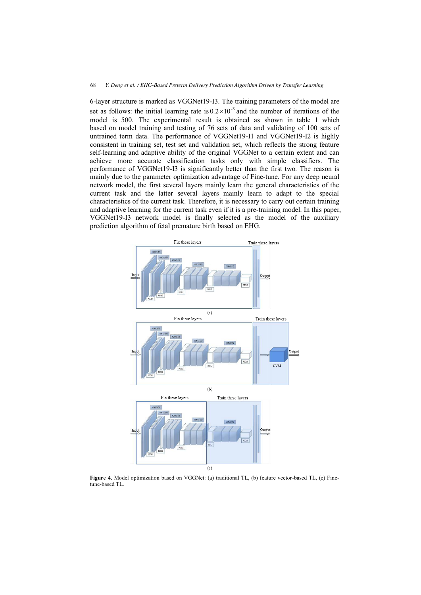6-layer structure is marked as VGGNet19-I3. The training parameters of the model are set as follows: the initial learning rate is  $0.2 \times 10^{-3}$  and the number of iterations of the model is 500. The experimental result is obtained as shown in table 1 which based on model training and testing of 76 sets of data and validating of 100 sets of untrained term data. The performance of VGGNet19-I1 and VGGNet19-I2 is highly consistent in training set, test set and validation set, which reflects the strong feature self-learning and adaptive ability of the original VGGNet to a certain extent and can achieve more accurate classification tasks only with simple classifiers. The performance of VGGNet19-I3 is significantly better than the first two. The reason is mainly due to the parameter optimization advantage of Fine-tune. For any deep neural network model, the first several layers mainly learn the general characteristics of the current task and the latter several layers mainly learn to adapt to the special characteristics of the current task. Therefore, it is necessary to carry out certain training and adaptive learning for the current task even if it is a pre-training model. In this paper, VGGNet19-I3 network model is finally selected as the model of the auxiliary prediction algorithm of fetal premature birth based on EHG.



**Figure 4.** Model optimization based on VGGNet: (a) traditional TL, (b) feature vector-based TL, (c) Finetune-based TL.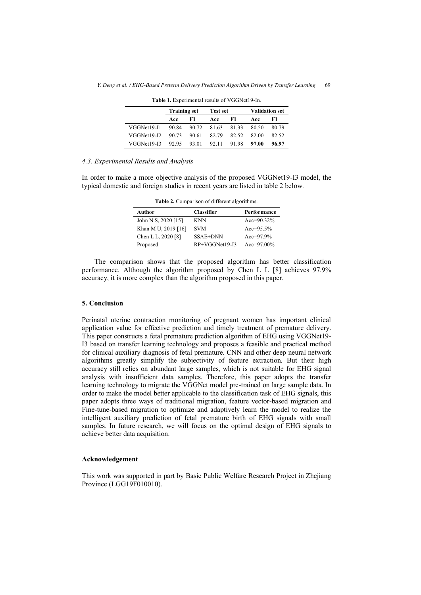|                   | <b>Training set</b> |       | Test set    |       | <b>Validation set</b> |       |
|-------------------|---------------------|-------|-------------|-------|-----------------------|-------|
|                   | Acc                 | F1.   | Acc         | F1.   | Acc                   | F1    |
| VGGNet19-I1 90.84 |                     |       | 90.72 81.63 | 8133  | 80.50                 | 80.79 |
| VGGNet19-I2       | 90.73               | 90.61 | 82.79       | 82.52 | 82.00                 | 82.52 |
| VGGNet19-I3       | 92.95               | 93.01 | 92.11       | 9198  | 97.00                 | 96.97 |

**Table 1.** Experimental results of VGGNet19-In.

### *4.3. Experimental Results and Analysis*

In order to make a more objective analysis of the proposed VGGNet19-I3 model, the typical domestic and foreign studies in recent years are listed in table 2 below.

| Author              | <b>Classifier</b> | Performance   |
|---------------------|-------------------|---------------|
| John N.S. 2020 [15] | KNN               | $Acc=90.32\%$ |
| Khan M U, 2019 [16] | <b>SVM</b>        | $Acc=95.5\%$  |
| Chen L L, 2020 [8]  | SSAE+DNN          | $Acc=97.9\%$  |
| Proposed            | $RP+VGGNet19-I3$  | $Acc=97.00\%$ |

**Table 2.** Comparison of different algorithms.

The comparison shows that the proposed algorithm has better classification performance. Although the algorithm proposed by Chen L L [8] achieves 97.9% accuracy, it is more complex than the algorithm proposed in this paper.

#### **5. Conclusion**

Perinatal uterine contraction monitoring of pregnant women has important clinical application value for effective prediction and timely treatment of premature delivery. This paper constructs a fetal premature prediction algorithm of EHG using VGGNet19- I3 based on transfer learning technology and proposes a feasible and practical method for clinical auxiliary diagnosis of fetal premature. CNN and other deep neural network algorithms greatly simplify the subjectivity of feature extraction. But their high accuracy still relies on abundant large samples, which is not suitable for EHG signal analysis with insufficient data samples. Therefore, this paper adopts the transfer learning technology to migrate the VGGNet model pre-trained on large sample data. In order to make the model better applicable to the classification task of EHG signals, this paper adopts three ways of traditional migration, feature vector-based migration and Fine-tune-based migration to optimize and adaptively learn the model to realize the intelligent auxiliary prediction of fetal premature birth of EHG signals with small samples. In future research, we will focus on the optimal design of EHG signals to achieve better data acquisition.

# **Acknowledgement**

This work was supported in part by Basic Public Welfare Research Project in Zhejiang Province (LGG19F010010).